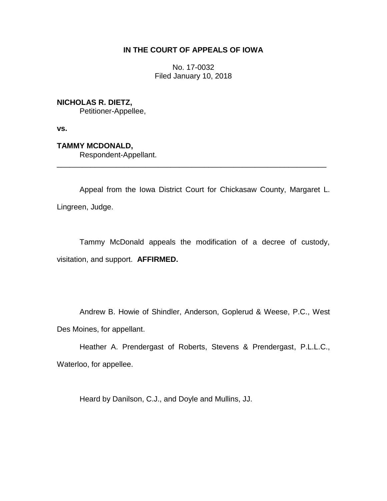# **IN THE COURT OF APPEALS OF IOWA**

No. 17-0032 Filed January 10, 2018

**NICHOLAS R. DIETZ,** Petitioner-Appellee,

**vs.**

**TAMMY MCDONALD,** Respondent-Appellant.

Appeal from the Iowa District Court for Chickasaw County, Margaret L. Lingreen, Judge.

\_\_\_\_\_\_\_\_\_\_\_\_\_\_\_\_\_\_\_\_\_\_\_\_\_\_\_\_\_\_\_\_\_\_\_\_\_\_\_\_\_\_\_\_\_\_\_\_\_\_\_\_\_\_\_\_\_\_\_\_\_\_\_\_

Tammy McDonald appeals the modification of a decree of custody, visitation, and support. **AFFIRMED.**

Andrew B. Howie of Shindler, Anderson, Goplerud & Weese, P.C., West Des Moines, for appellant.

Heather A. Prendergast of Roberts, Stevens & Prendergast, P.L.L.C., Waterloo, for appellee.

Heard by Danilson, C.J., and Doyle and Mullins, JJ.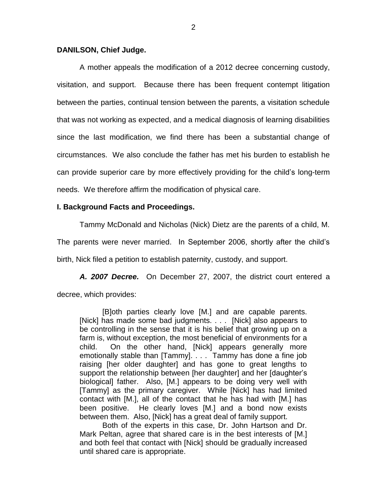## **DANILSON, Chief Judge.**

A mother appeals the modification of a 2012 decree concerning custody, visitation, and support. Because there has been frequent contempt litigation between the parties, continual tension between the parents, a visitation schedule that was not working as expected, and a medical diagnosis of learning disabilities since the last modification, we find there has been a substantial change of circumstances. We also conclude the father has met his burden to establish he can provide superior care by more effectively providing for the child's long-term needs. We therefore affirm the modification of physical care.

## **I. Background Facts and Proceedings.**

Tammy McDonald and Nicholas (Nick) Dietz are the parents of a child, M.

The parents were never married. In September 2006, shortly after the child's

birth, Nick filed a petition to establish paternity, custody, and support.

*A. 2007 Decree.* On December 27, 2007, the district court entered a decree, which provides:

[B]oth parties clearly love [M.] and are capable parents. [Nick] has made some bad judgments. . . . [Nick] also appears to be controlling in the sense that it is his belief that growing up on a farm is, without exception, the most beneficial of environments for a child. On the other hand, [Nick] appears generally more emotionally stable than [Tammy]. . . . Tammy has done a fine job raising [her older daughter] and has gone to great lengths to support the relationship between [her daughter] and her [daughter's biological] father. Also, [M.] appears to be doing very well with [Tammy] as the primary caregiver. While [Nick] has had limited contact with [M.], all of the contact that he has had with [M.] has been positive. He clearly loves [M.] and a bond now exists between them. Also, [Nick] has a great deal of family support.

Both of the experts in this case, Dr. John Hartson and Dr. Mark Peltan, agree that shared care is in the best interests of [M.] and both feel that contact with [Nick] should be gradually increased until shared care is appropriate.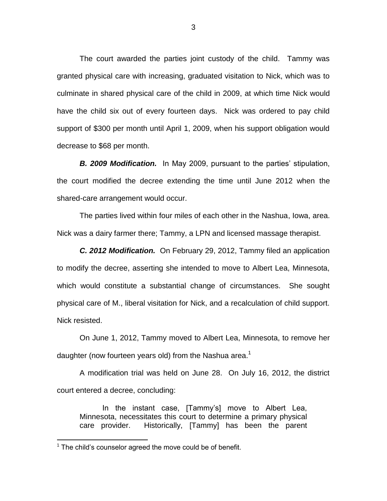The court awarded the parties joint custody of the child. Tammy was granted physical care with increasing, graduated visitation to Nick, which was to culminate in shared physical care of the child in 2009, at which time Nick would have the child six out of every fourteen days. Nick was ordered to pay child support of \$300 per month until April 1, 2009, when his support obligation would decrease to \$68 per month.

*B. 2009 Modification.* In May 2009, pursuant to the parties' stipulation, the court modified the decree extending the time until June 2012 when the shared-care arrangement would occur.

The parties lived within four miles of each other in the Nashua, Iowa, area. Nick was a dairy farmer there; Tammy, a LPN and licensed massage therapist.

*C. 2012 Modification.* On February 29, 2012, Tammy filed an application to modify the decree, asserting she intended to move to Albert Lea, Minnesota, which would constitute a substantial change of circumstances. She sought physical care of M., liberal visitation for Nick, and a recalculation of child support. Nick resisted.

On June 1, 2012, Tammy moved to Albert Lea, Minnesota, to remove her daughter (now fourteen years old) from the Nashua area.<sup>1</sup>

A modification trial was held on June 28. On July 16, 2012, the district court entered a decree, concluding:

In the instant case, [Tammy's] move to Albert Lea, Minnesota, necessitates this court to determine a primary physical care provider. Historically, [Tammy] has been the parent

 $\overline{a}$ 

 $1$  The child's counselor agreed the move could be of benefit.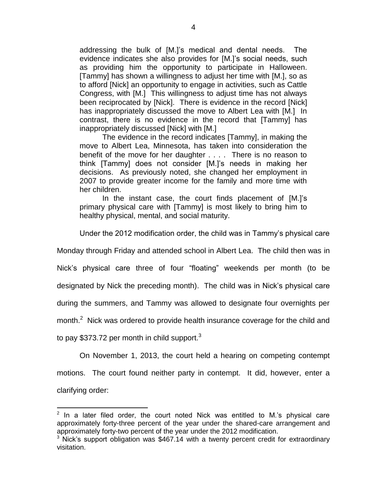addressing the bulk of [M.]'s medical and dental needs. The evidence indicates she also provides for [M.]'s social needs, such as providing him the opportunity to participate in Halloween. [Tammy] has shown a willingness to adjust her time with [M.], so as to afford [Nick] an opportunity to engage in activities, such as Cattle Congress, with [M.] This willingness to adjust time has not always been reciprocated by [Nick]. There is evidence in the record [Nick] has inappropriately discussed the move to Albert Lea with [M.] In contrast, there is no evidence in the record that [Tammy] has inappropriately discussed [Nick] with [M.]

The evidence in the record indicates [Tammy], in making the move to Albert Lea, Minnesota, has taken into consideration the benefit of the move for her daughter . . . . There is no reason to think [Tammy] does not consider [M.]'s needs in making her decisions. As previously noted, she changed her employment in 2007 to provide greater income for the family and more time with her children.

In the instant case, the court finds placement of [M.]'s primary physical care with [Tammy] is most likely to bring him to healthy physical, mental, and social maturity.

Under the 2012 modification order, the child was in Tammy's physical care

Monday through Friday and attended school in Albert Lea. The child then was in

Nick's physical care three of four "floating" weekends per month (to be

designated by Nick the preceding month). The child was in Nick's physical care

during the summers, and Tammy was allowed to designate four overnights per

month. $2$  Nick was ordered to provide health insurance coverage for the child and

to pay \$373.72 per month in child support. $3$ 

 $\overline{a}$ 

On November 1, 2013, the court held a hearing on competing contempt motions. The court found neither party in contempt. It did, however, enter a clarifying order:

 $2$  In a later filed order, the court noted Nick was entitled to M.'s physical care approximately forty-three percent of the year under the shared-care arrangement and approximately forty-two percent of the year under the 2012 modification.

<sup>&</sup>lt;sup>3</sup> Nick's support obligation was \$467.14 with a twenty percent credit for extraordinary visitation.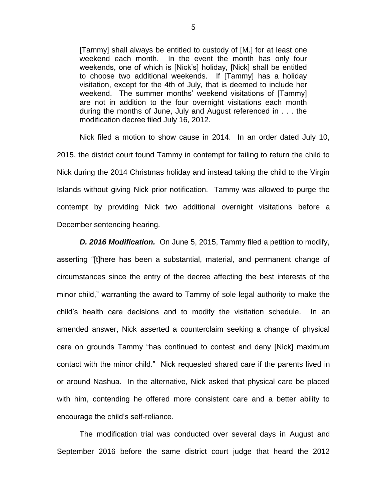[Tammy] shall always be entitled to custody of [M.] for at least one weekend each month. In the event the month has only four weekends, one of which is [Nick's] holiday, [Nick] shall be entitled to choose two additional weekends. If [Tammy] has a holiday visitation, except for the 4th of July, that is deemed to include her weekend. The summer months' weekend visitations of [Tammy] are not in addition to the four overnight visitations each month during the months of June, July and August referenced in . . . the modification decree filed July 16, 2012.

Nick filed a motion to show cause in 2014. In an order dated July 10, 2015, the district court found Tammy in contempt for failing to return the child to Nick during the 2014 Christmas holiday and instead taking the child to the Virgin Islands without giving Nick prior notification. Tammy was allowed to purge the contempt by providing Nick two additional overnight visitations before a December sentencing hearing.

*D. 2016 Modification.* On June 5, 2015, Tammy filed a petition to modify, asserting "[t]here has been a substantial, material, and permanent change of circumstances since the entry of the decree affecting the best interests of the minor child," warranting the award to Tammy of sole legal authority to make the child's health care decisions and to modify the visitation schedule. In an amended answer, Nick asserted a counterclaim seeking a change of physical care on grounds Tammy "has continued to contest and deny [Nick] maximum contact with the minor child." Nick requested shared care if the parents lived in or around Nashua. In the alternative, Nick asked that physical care be placed with him, contending he offered more consistent care and a better ability to encourage the child's self-reliance.

The modification trial was conducted over several days in August and September 2016 before the same district court judge that heard the 2012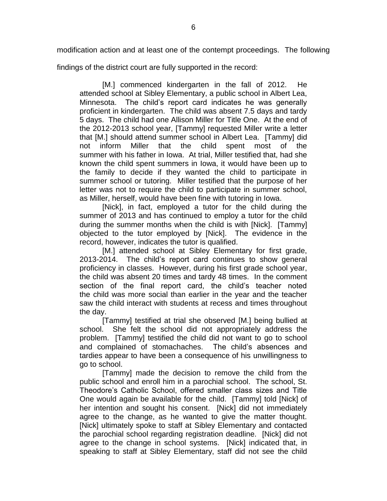modification action and at least one of the contempt proceedings. The following

findings of the district court are fully supported in the record:

[M.] commenced kindergarten in the fall of 2012. He attended school at Sibley Elementary, a public school in Albert Lea, Minnesota. The child's report card indicates he was generally proficient in kindergarten. The child was absent 7.5 days and tardy 5 days. The child had one Allison Miller for Title One. At the end of the 2012-2013 school year, [Tammy] requested Miller write a letter that [M.] should attend summer school in Albert Lea. [Tammy] did not inform Miller that the child spent most of the summer with his father in Iowa. At trial, Miller testified that, had she known the child spent summers in Iowa, it would have been up to the family to decide if they wanted the child to participate in summer school or tutoring. Miller testified that the purpose of her letter was not to require the child to participate in summer school, as Miller, herself, would have been fine with tutoring in Iowa.

[Nick], in fact, employed a tutor for the child during the summer of 2013 and has continued to employ a tutor for the child during the summer months when the child is with [Nick]. [Tammy] objected to the tutor employed by [Nick]. The evidence in the record, however, indicates the tutor is qualified.

[M.] attended school at Sibley Elementary for first grade, 2013-2014. The child's report card continues to show general proficiency in classes. However, during his first grade school year, the child was absent 20 times and tardy 48 times. In the comment section of the final report card, the child's teacher noted the child was more social than earlier in the year and the teacher saw the child interact with students at recess and times throughout the day.

[Tammy] testified at trial she observed [M.] being bullied at school. She felt the school did not appropriately address the problem. [Tammy] testified the child did not want to go to school and complained of stomachaches. The child's absences and tardies appear to have been a consequence of his unwillingness to go to school.

[Tammy] made the decision to remove the child from the public school and enroll him in a parochial school. The school, St. Theodore's Catholic School, offered smaller class sizes and Title One would again be available for the child. [Tammy] told [Nick] of her intention and sought his consent. [Nick] did not immediately agree to the change, as he wanted to give the matter thought. [Nick] ultimately spoke to staff at Sibley Elementary and contacted the parochial school regarding registration deadline. [Nick] did not agree to the change in school systems. [Nick] indicated that, in speaking to staff at Sibley Elementary, staff did not see the child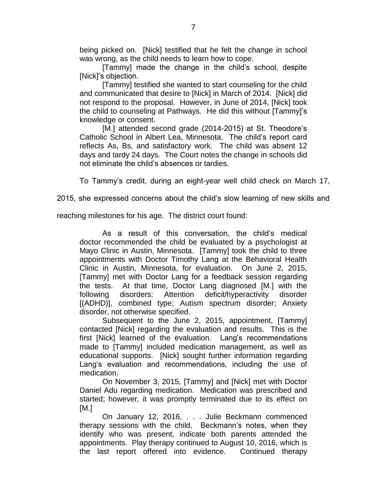being picked on. [Nick] testified that he felt the change in school was wrong, as the child needs to learn how to cope.

[Tammy] made the change in the child's school, despite [Nick]'s objection.

[Tammy] testified she wanted to start counseling for the child and communicated that desire to [Nick] in March of 2014. [Nick] did not respond to the proposal. However, in June of 2014, [Nick] took the child to counseling at Pathways. He did this without [Tammy]'s knowledge or consent.

[M.] attended second grade (2014-2015) at St. Theodore's Catholic School in Albert Lea, Minnesota. The child's report card reflects As, Bs, and satisfactory work. The child was absent 12 days and tardy 24 days. The Court notes the change in schools did not eliminate the child's absences or tardies.

To Tammy's credit, during an eight-year well child check on March 17,

2015, she expressed concerns about the child's slow learning of new skills and

reaching milestones for his age. The district court found:

As a result of this conversation, the child's medical doctor recommended the child be evaluated by a psychologist at Mayo Clinic in Austin, Minnesota. [Tammy] took the child to three appointments with Doctor Timothy Lang at the Behavioral Health Clinic in Austin, Minnesota, for evaluation. On June 2, 2015, [Tammy] met with Doctor Lang for a feedback session regarding the tests. At that time, Doctor Lang diagnosed [M.] with the following disorders: Attention deficit/hyperactivity disorder [(ADHD)], combined type; Autism spectrum disorder; Anxiety disorder, not otherwise specified.

Subsequent to the June 2, 2015, appointment, [Tammy] contacted [Nick] regarding the evaluation and results. This is the first [Nick] learned of the evaluation. Lang's recommendations made to [Tammy] included medication management, as well as educational supports. [Nick] sought further information regarding Lang's evaluation and recommendations, including the use of medication.

On November 3, 2015, [Tammy] and [Nick] met with Doctor Daniel Adu regarding medication. Medication was prescribed and started; however, it was promptly terminated due to its effect on  $IM.1$ 

On January 12, 2016, . . . Julie Beckmann commenced therapy sessions with the child. Beckmann's notes, when they identify who was present, indicate both parents attended the appointments. Play therapy continued to August 10, 2016, which is the last report offered into evidence. Continued therapy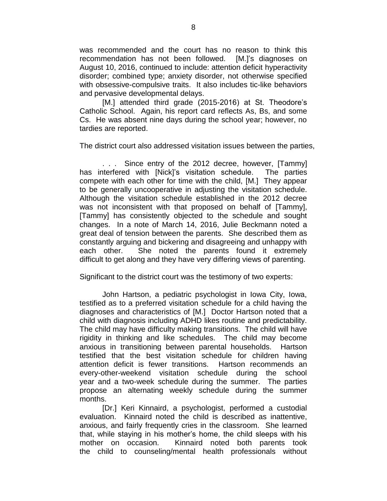was recommended and the court has no reason to think this recommendation has not been followed. [M.]'s diagnoses on August 10, 2016, continued to include: attention deficit hyperactivity disorder; combined type; anxiety disorder, not otherwise specified with obsessive-compulsive traits. It also includes tic-like behaviors and pervasive developmental delays.

[M.] attended third grade (2015-2016) at St. Theodore's Catholic School. Again, his report card reflects As, Bs, and some Cs. He was absent nine days during the school year; however, no tardies are reported.

The district court also addressed visitation issues between the parties,

. . . Since entry of the 2012 decree, however, [Tammy] has interfered with [Nick]'s visitation schedule. The parties compete with each other for time with the child, [M.] They appear to be generally uncooperative in adjusting the visitation schedule. Although the visitation schedule established in the 2012 decree was not inconsistent with that proposed on behalf of [Tammy], [Tammy] has consistently objected to the schedule and sought changes. In a note of March 14, 2016, Julie Beckmann noted a great deal of tension between the parents. She described them as constantly arguing and bickering and disagreeing and unhappy with each other. She noted the parents found it extremely difficult to get along and they have very differing views of parenting.

Significant to the district court was the testimony of two experts:

John Hartson, a pediatric psychologist in Iowa City, Iowa, testified as to a preferred visitation schedule for a child having the diagnoses and characteristics of [M.] Doctor Hartson noted that a child with diagnosis including ADHD likes routine and predictability. The child may have difficulty making transitions. The child will have rigidity in thinking and like schedules. The child may become anxious in transitioning between parental households. Hartson testified that the best visitation schedule for children having attention deficit is fewer transitions. Hartson recommends an every-other-weekend visitation schedule during the school year and a two-week schedule during the summer. The parties propose an alternating weekly schedule during the summer months.

[Dr.] Keri Kinnaird, a psychologist, performed a custodial evaluation. Kinnaird noted the child is described as inattentive, anxious, and fairly frequently cries in the classroom. She learned that, while staying in his mother's home, the child sleeps with his mother on occasion. Kinnaird noted both parents took the child to counseling/mental health professionals without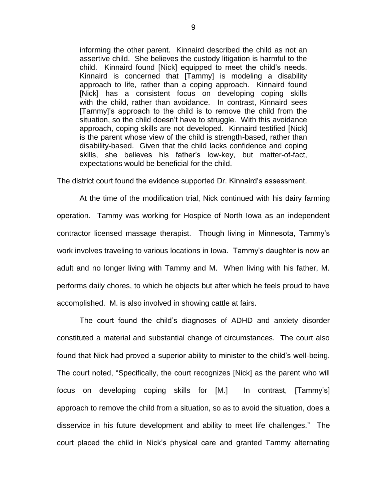informing the other parent. Kinnaird described the child as not an assertive child. She believes the custody litigation is harmful to the child. Kinnaird found [Nick] equipped to meet the child's needs. Kinnaird is concerned that [Tammy] is modeling a disability approach to life, rather than a coping approach. Kinnaird found [Nick] has a consistent focus on developing coping skills with the child, rather than avoidance. In contrast, Kinnaird sees [Tammy]'s approach to the child is to remove the child from the situation, so the child doesn't have to struggle. With this avoidance approach, coping skills are not developed. Kinnaird testified [Nick] is the parent whose view of the child is strength-based, rather than disability-based. Given that the child lacks confidence and coping skills, she believes his father's low-key, but matter-of-fact, expectations would be beneficial for the child.

The district court found the evidence supported Dr. Kinnaird's assessment.

At the time of the modification trial, Nick continued with his dairy farming operation. Tammy was working for Hospice of North Iowa as an independent contractor licensed massage therapist. Though living in Minnesota, Tammy's work involves traveling to various locations in Iowa. Tammy's daughter is now an adult and no longer living with Tammy and M. When living with his father, M. performs daily chores, to which he objects but after which he feels proud to have accomplished. M. is also involved in showing cattle at fairs.

The court found the child's diagnoses of ADHD and anxiety disorder constituted a material and substantial change of circumstances. The court also found that Nick had proved a superior ability to minister to the child's well-being. The court noted, "Specifically, the court recognizes [Nick] as the parent who will focus on developing coping skills for [M.] In contrast, [Tammy's] approach to remove the child from a situation, so as to avoid the situation, does a disservice in his future development and ability to meet life challenges." The court placed the child in Nick's physical care and granted Tammy alternating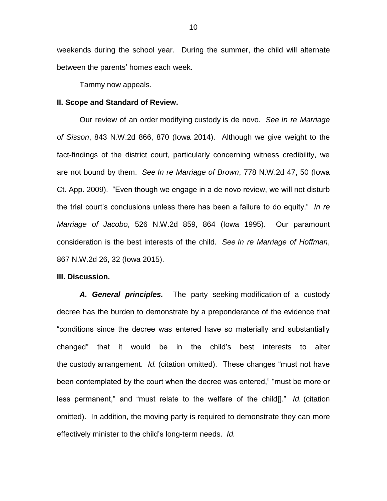weekends during the school year. During the summer, the child will alternate between the parents' homes each week.

Tammy now appeals.

### **II. Scope and Standard of Review.**

Our review of an order modifying custody is de novo. *See In re Marriage of Sisson*, 843 N.W.2d 866, 870 (Iowa 2014). Although we give weight to the fact-findings of the district court, particularly concerning witness credibility, we are not bound by them. *See In re Marriage of Brown*, 778 N.W.2d 47, 50 (Iowa Ct. App. 2009). "Even though we engage in a de novo review, we will not disturb the trial court's conclusions unless there has been a failure to do equity." *In re Marriage of Jacobo*, 526 N.W.2d 859, 864 (Iowa 1995). Our paramount consideration is the best interests of the child. *See In re Marriage of Hoffman*, 867 N.W.2d 26, 32 (Iowa 2015).

#### **III. Discussion.**

*A. General principles.* The party seeking modification of a custody decree has the burden to demonstrate by a preponderance of the evidence that "conditions since the decree was entered have so materially and substantially changed" that it would be in the child's best interests to alter the custody arrangement. *Id.* (citation omitted). These changes "must not have been contemplated by the court when the decree was entered," "must be more or less permanent," and "must relate to the welfare of the child[]." *Id.* (citation omitted). In addition, the moving party is required to demonstrate they can more effectively minister to the child's long-term needs. *Id.*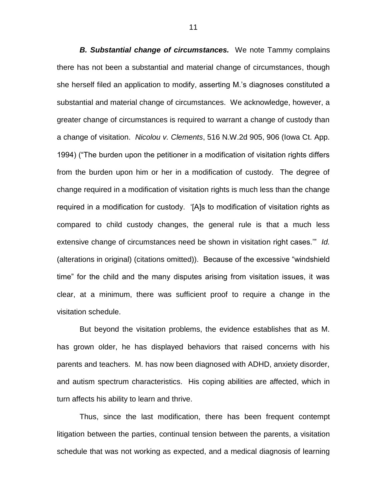*B. Substantial change of circumstances.* We note Tammy complains there has not been a substantial and material change of circumstances, though she herself filed an application to modify, asserting M.'s diagnoses constituted a substantial and material change of circumstances. We acknowledge, however, a greater change of circumstances is required to warrant a change of custody than a change of visitation. *Nicolou v. Clements*, 516 N.W.2d 905, 906 (Iowa Ct. App. 1994) ("The burden upon the petitioner in a modification of visitation rights differs from the burden upon him or her in a modification of custody. The degree of change required in a modification of visitation rights is much less than the change required in a modification for custody. '[A]s to modification of visitation rights as compared to child custody changes, the general rule is that a much less extensive change of circumstances need be shown in visitation right cases.'" *Id.* (alterations in original) (citations omitted)). Because of the excessive "windshield time" for the child and the many disputes arising from visitation issues, it was clear, at a minimum, there was sufficient proof to require a change in the visitation schedule.

But beyond the visitation problems, the evidence establishes that as M. has grown older, he has displayed behaviors that raised concerns with his parents and teachers. M. has now been diagnosed with ADHD, anxiety disorder, and autism spectrum characteristics. His coping abilities are affected, which in turn affects his ability to learn and thrive.

Thus, since the last modification, there has been frequent contempt litigation between the parties, continual tension between the parents, a visitation schedule that was not working as expected, and a medical diagnosis of learning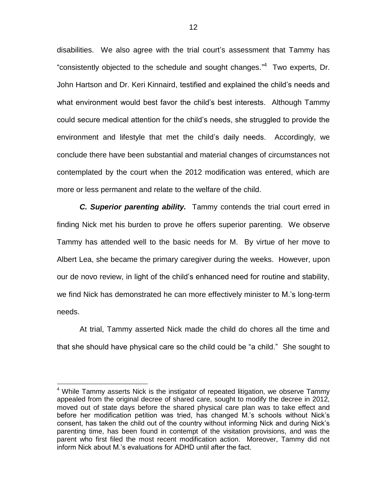disabilities. We also agree with the trial court's assessment that Tammy has "consistently objected to the schedule and sought changes." Two experts, Dr. John Hartson and Dr. Keri Kinnaird, testified and explained the child's needs and what environment would best favor the child's best interests. Although Tammy could secure medical attention for the child's needs, she struggled to provide the environment and lifestyle that met the child's daily needs. Accordingly, we conclude there have been substantial and material changes of circumstances not contemplated by the court when the 2012 modification was entered, which are more or less permanent and relate to the welfare of the child.

*C. Superior parenting ability.* Tammy contends the trial court erred in finding Nick met his burden to prove he offers superior parenting. We observe Tammy has attended well to the basic needs for M. By virtue of her move to Albert Lea, she became the primary caregiver during the weeks. However, upon our de novo review, in light of the child's enhanced need for routine and stability, we find Nick has demonstrated he can more effectively minister to M.'s long-term needs.

At trial, Tammy asserted Nick made the child do chores all the time and that she should have physical care so the child could be "a child." She sought to

 $\overline{a}$ 

<sup>&</sup>lt;sup>4</sup> While Tammy asserts Nick is the instigator of repeated litigation, we observe Tammy appealed from the original decree of shared care, sought to modify the decree in 2012, moved out of state days before the shared physical care plan was to take effect and before her modification petition was tried, has changed M.'s schools without Nick's consent, has taken the child out of the country without informing Nick and during Nick's parenting time, has been found in contempt of the visitation provisions, and was the parent who first filed the most recent modification action. Moreover, Tammy did not inform Nick about M.'s evaluations for ADHD until after the fact.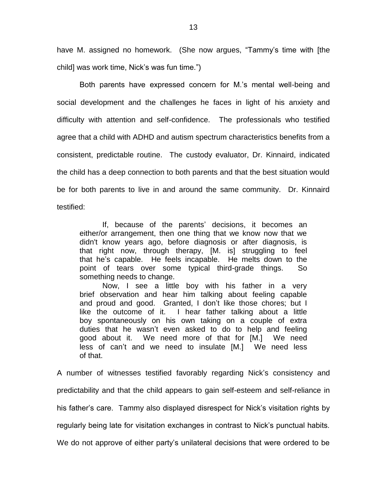have M. assigned no homework. (She now argues, "Tammy's time with [the child] was work time, Nick's was fun time.")

Both parents have expressed concern for M.'s mental well-being and social development and the challenges he faces in light of his anxiety and difficulty with attention and self-confidence. The professionals who testified agree that a child with ADHD and autism spectrum characteristics benefits from a consistent, predictable routine. The custody evaluator, Dr. Kinnaird, indicated the child has a deep connection to both parents and that the best situation would be for both parents to live in and around the same community. Dr. Kinnaird testified:

If, because of the parents' decisions, it becomes an either/or arrangement, then one thing that we know now that we didn't know years ago, before diagnosis or after diagnosis, is that right now, through therapy, [M. is] struggling to feel that he's capable. He feels incapable. He melts down to the point of tears over some typical third-grade things. So something needs to change.

Now, I see a little boy with his father in a very brief observation and hear him talking about feeling capable and proud and good. Granted, I don't like those chores; but I like the outcome of it. I hear father talking about a little boy spontaneously on his own taking on a couple of extra duties that he wasn't even asked to do to help and feeling good about it. We need more of that for [M.] We need less of can't and we need to insulate [M.] We need less of that.

A number of witnesses testified favorably regarding Nick's consistency and predictability and that the child appears to gain self-esteem and self-reliance in his father's care. Tammy also displayed disrespect for Nick's visitation rights by regularly being late for visitation exchanges in contrast to Nick's punctual habits. We do not approve of either party's unilateral decisions that were ordered to be